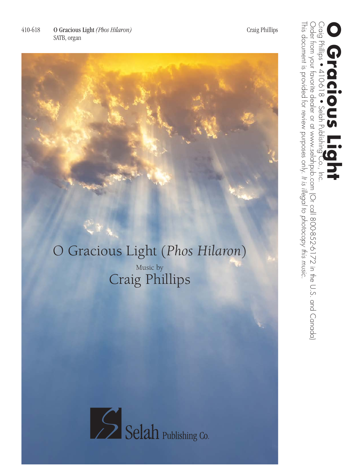This document is provided for review purposes only.

This document is provided for review purposes only. It is illegal to photocopy this music.

**Cracious Light**<br>Craig Phillips • 410-618 • Selah Publishing Co., Inc.

Order from your favorite dealer or at www.selahpub.com (Or call 800-852-6172 in the U.S. and Canada)

Craig Phillips • 410-618 • Selah Publishing Co., Inc.<br>Order from your favorite dealer or at www.selahpub.com (Or call 800-852-6172 in the U.S. and Canada)<br>This document is provided for review purposes only It is illegal to

*It is illegal to photocopy this music.*

## O Gracious Light (*Phos Hilaron*)

Music by Craig Phillips

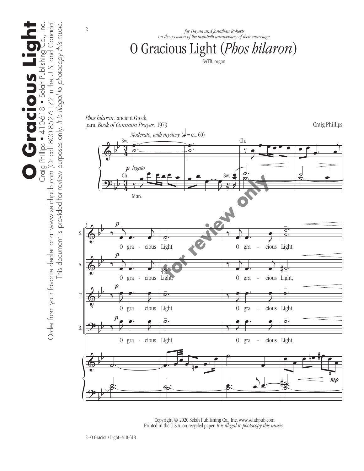

 Copyright © 2020 Selah Publishing Co., Inc. www.selahpub.com Printed in the U.S.A. on recycled paper. *It is illegal to photocopy this music.*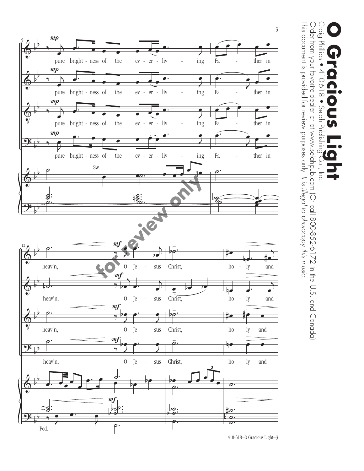

Craig Phillips ● 410-618 ● Selah Publishing Co., Inc.<br>Order from your favorite dealer or at www.selahpub.com (Or call 800-852-6172 in the U.S. and Canada) Order from your favorite dealer or at www.selahpub.com (Or call 800-852-6172 in the U.S. and Canada) **Cracious Light**<br>Craig Phillips • 410-618 • Selah Publishing Co., Inc.  $\frac{1}{8}$ 

This document is provided for review purposes only.

This document is provided for review purposes only. It is illegal to photocopy this music.

*It is illegal to photocopy this music.*

410-618–O Gracious Light–3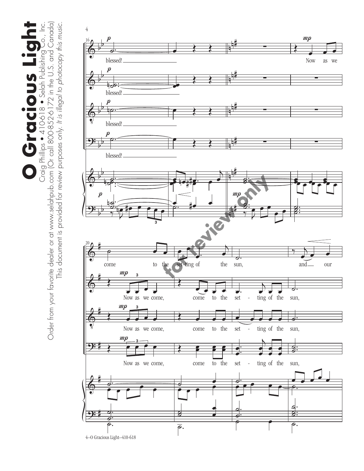**O Gracious Light** Craig Phillips • 410-618 • Selah Publishing Co., Inc.<br>Order from your favorite dealer or at www.selahpub.com (Or call 800-852-6172 in the U.S. and Canada) Order from your favorite dealer or at www.selahpub.com (Or call 800-852-6172 in the U.S. and Canada) This document is provided for review purposes only. It is illegal to photocopy this music. This document is provided for review purposes only. *It is illegal to photocopy this music.* **O Gracious Lig** 

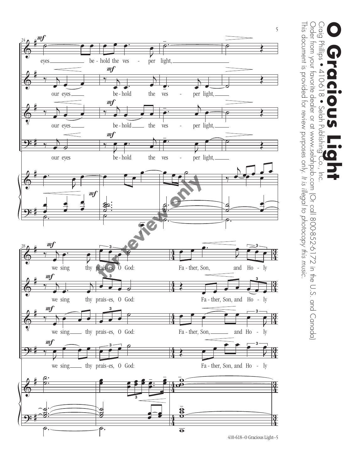![](_page_4_Figure_0.jpeg)

Craig Phillips ● 410-618 ● Selah Publishing Co., Inc.<br>Order from your favorite dealer or at www.selahpub.com (Or call 800-852-6172 in the U.S. and Canada) Order from your favorite dealer or at www.selahpub.com (Or call 800-852-6172 in the U.S. and Canada) **Cracious Light**<br>Craig Phillips • 410-618 • Selah Publishing Co., Inc.

This document is provided for review purposes only.

*It is illegal to photocopy this music.*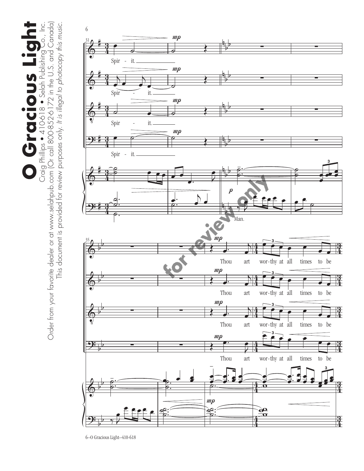O Craig Philips + 410-618 • Selah Publishing Co., Inc.<br>Order from your favorite dealer or at www.selahpub.com (Or call 800-852-6172 in the U.S. and Canada) **O Gracious Light** Order from your favorite dealer or at www.selahpub.com (Or call 800-852-6172 in the U.S. and Canada) This document is provided for review purposes only. It is illegal to photocopy this music. This document is provided for review purposes only. *It is illegal to photocopy this music.*

![](_page_5_Figure_1.jpeg)

<sup>6–</sup>O Gracious Light–410-618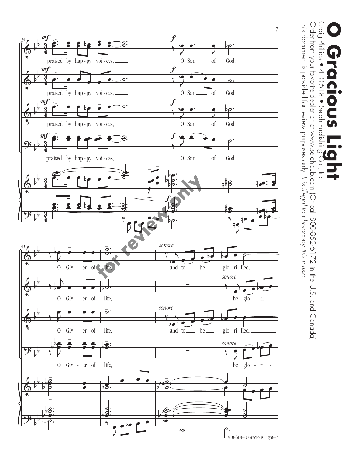![](_page_6_Figure_0.jpeg)

Craig Phillips ● 410-618 ● Selah Publishing Co., Inc.<br>Order from your favorite dealer or at www.selahpub.com (Or call 800-852-6172 in the U.S. and Canada) This document is provided for review purposes only. It is illegal to photocopy this music. This document is provided for review purposes only. Order from your favorite dealer or at www.selahpub.com (Or call 800-852-6172 in the U.S. and Canada) **Cracious Light**<br>Craig Phillips • 410-618 • Selah Publishing Co., Inc.

*It is illegal to photocopy this music.*